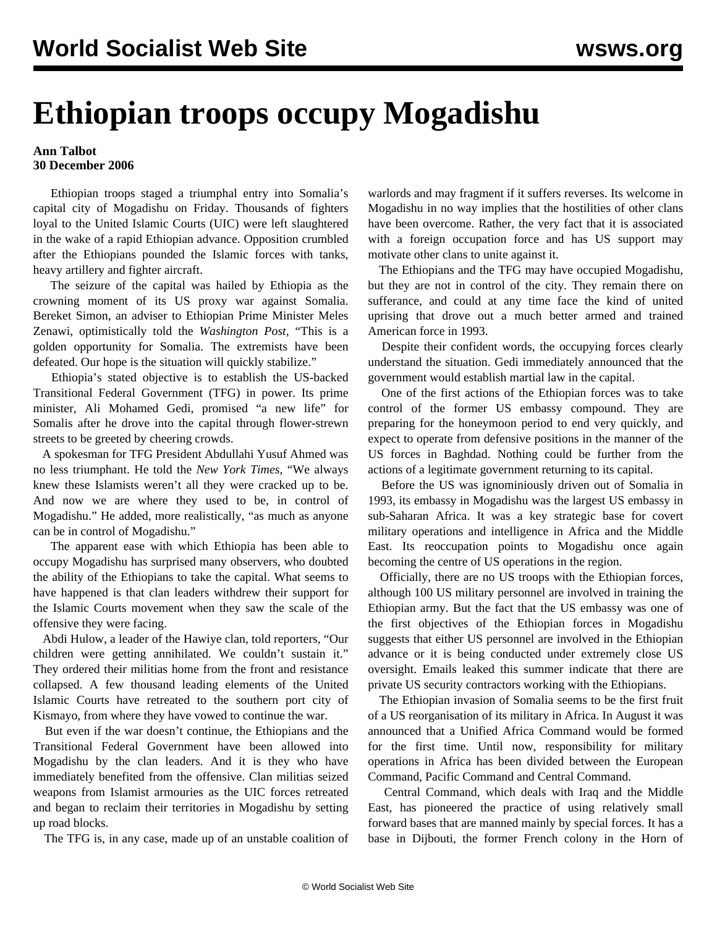## **Ethiopian troops occupy Mogadishu**

## **Ann Talbot 30 December 2006**

 Ethiopian troops staged a triumphal entry into Somalia's capital city of Mogadishu on Friday. Thousands of fighters loyal to the United Islamic Courts (UIC) were left slaughtered in the wake of a rapid Ethiopian advance. Opposition crumbled after the Ethiopians pounded the Islamic forces with tanks, heavy artillery and fighter aircraft.

 The seizure of the capital was hailed by Ethiopia as the crowning moment of its US proxy war against Somalia. Bereket Simon, an adviser to Ethiopian Prime Minister Meles Zenawi, optimistically told the *Washington Post,* "This is a golden opportunity for Somalia. The extremists have been defeated. Our hope is the situation will quickly stabilize."

 Ethiopia's stated objective is to establish the US-backed Transitional Federal Government (TFG) in power. Its prime minister, Ali Mohamed Gedi, promised "a new life" for Somalis after he drove into the capital through flower-strewn streets to be greeted by cheering crowds.

 A spokesman for TFG President Abdullahi Yusuf Ahmed was no less triumphant. He told the *New York Times,* "We always knew these Islamists weren't all they were cracked up to be. And now we are where they used to be, in control of Mogadishu." He added, more realistically, "as much as anyone can be in control of Mogadishu."

 The apparent ease with which Ethiopia has been able to occupy Mogadishu has surprised many observers, who doubted the ability of the Ethiopians to take the capital. What seems to have happened is that clan leaders withdrew their support for the Islamic Courts movement when they saw the scale of the offensive they were facing.

 Abdi Hulow, a leader of the Hawiye clan, told reporters, "Our children were getting annihilated. We couldn't sustain it." They ordered their militias home from the front and resistance collapsed. A few thousand leading elements of the United Islamic Courts have retreated to the southern port city of Kismayo, from where they have vowed to continue the war.

 But even if the war doesn't continue, the Ethiopians and the Transitional Federal Government have been allowed into Mogadishu by the clan leaders. And it is they who have immediately benefited from the offensive. Clan militias seized weapons from Islamist armouries as the UIC forces retreated and began to reclaim their territories in Mogadishu by setting up road blocks.

The TFG is, in any case, made up of an unstable coalition of

warlords and may fragment if it suffers reverses. Its welcome in Mogadishu in no way implies that the hostilities of other clans have been overcome. Rather, the very fact that it is associated with a foreign occupation force and has US support may motivate other clans to unite against it.

 The Ethiopians and the TFG may have occupied Mogadishu, but they are not in control of the city. They remain there on sufferance, and could at any time face the kind of united uprising that drove out a much better armed and trained American force in 1993.

 Despite their confident words, the occupying forces clearly understand the situation. Gedi immediately announced that the government would establish martial law in the capital.

 One of the first actions of the Ethiopian forces was to take control of the former US embassy compound. They are preparing for the honeymoon period to end very quickly, and expect to operate from defensive positions in the manner of the US forces in Baghdad. Nothing could be further from the actions of a legitimate government returning to its capital.

 Before the US was ignominiously driven out of Somalia in 1993, its embassy in Mogadishu was the largest US embassy in sub-Saharan Africa. It was a key strategic base for covert military operations and intelligence in Africa and the Middle East. Its reoccupation points to Mogadishu once again becoming the centre of US operations in the region.

 Officially, there are no US troops with the Ethiopian forces, although 100 US military personnel are involved in training the Ethiopian army. But the fact that the US embassy was one of the first objectives of the Ethiopian forces in Mogadishu suggests that either US personnel are involved in the Ethiopian advance or it is being conducted under extremely close US oversight. Emails leaked this summer indicate that there are private US security contractors working with the Ethiopians.

 The Ethiopian invasion of Somalia seems to be the first fruit of a US reorganisation of its military in Africa. In August it was announced that a Unified Africa Command would be formed for the first time. Until now, responsibility for military operations in Africa has been divided between the European Command, Pacific Command and Central Command.

 Central Command, which deals with Iraq and the Middle East, has pioneered the practice of using relatively small forward bases that are manned mainly by special forces. It has a base in Dijbouti, the former French colony in the Horn of